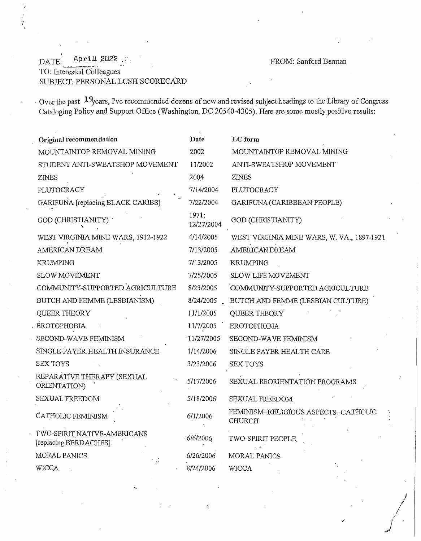*t I* 

## \ DATE:- Aprill. \_2022 *:* ;·. FROM: Sanford Berman '---==-•~"--r .... , ...... -· . TO: Interested Colleagues SUBJECT: PERSONAL LCSH SCORECARD

. Over the past **l** 9years, I've recommended dozens of new and revised subject headings to the Library of Congress Cataloging Policy and Support Office (Washington, DC 20540-4305). Here are some mostly positive results:

| Original recommendation                              | Date                | LC form                                               |
|------------------------------------------------------|---------------------|-------------------------------------------------------|
| MOUNTAINTOP REMOVAL MINING                           | 2002                | MOUNTAINTOP REMOVAL MINING                            |
| STUDENT ANTI-SWEATSHOP MOVEMENT                      | 11/2002             | ANTI-SWEATSHOP MOVEMENT                               |
| ZINES                                                | 2004                | <b>ZINES</b>                                          |
| PLUTOCRACY                                           | 7/14/2004           | PLUTOCRACY                                            |
| GARIFUNA [replacing BLACK CARIBS]                    | 7/22/2004           | GARIFUNA (CARIBBEAN PEOPLE)                           |
| GOD (CHRISTIANITY)                                   | 1971;<br>12/27/2004 | GOD (CHRISTIANITY)                                    |
| WEST VIRGINIA MINE WARS, 1912-1922                   | 4/14/2005           | WEST VIRGINIA MINE WARS, W. VA., 1897-1921            |
| AMERICAN DREAM                                       | 7/13/2005           | AMERICAN DREAM                                        |
| <b>KRUMPING</b>                                      | 7/13/2005           | <b>KRUMPING</b>                                       |
| <b>SLOW MOVEMENT</b>                                 | 7/25/2005           | SLOW LIFE MOVEMENT                                    |
| COMMUNITY-SUPPORTED AGRICULTURE                      | 8/23/2005           | COMMUNITY-SUPPORTED AGRICULTURE                       |
| BUTCH AND FEMME (LESBIANISM)                         | 8/24/2005           | BUTCH AND FEMME (LESBIAN CULTURE)                     |
| QUEER THEORY                                         | 11/1/2005           | QUEER THEORY                                          |
| <b>EROTOPHOBIA</b>                                   | 11/7/2005           | <b>EROTOPHOBIA</b>                                    |
| SECOND-WAVE FEMINISM                                 | 11/27/2005          | SECOND-WAVE FEMINISM                                  |
| SINGLE-PAYER HEALTH INSURANCE                        | 1/14/2006           | SINGLE PAYER HEALTH CARE                              |
| <b>SEX TOYS</b>                                      | 3/23/2006           | <b>SEX TOYS</b>                                       |
| REPARATIVE THERAPY (SEXUAL<br>ORIENTATION)           | 5/17/2006           | SEXUAL REORIENTATION PROGRAMS                         |
| SEXUAL FREEDOM                                       | 5/18/2006           | <b>SEXUAL FREEDOM</b>                                 |
| CATHOLIC FEMINISM                                    | 6/1/2006            | FEMINISM-RELIGIOUS ASPECTS--CATHOLIC<br><b>CHURCH</b> |
| TWO-SPIRIT NATIVE-AMERICANS<br>[replacing BERDACHES] | 6/6/2006            | TWO-SPIRIT PEOPLE.                                    |
| MORAL PANICS<br>$\mathcal{L}^{\star}$                | 6/26/2006           | MORAL PANICS                                          |
| <b>WICCA</b>                                         | 8/24/2006           | <b>WICCA</b>                                          |

 $\overline{1}$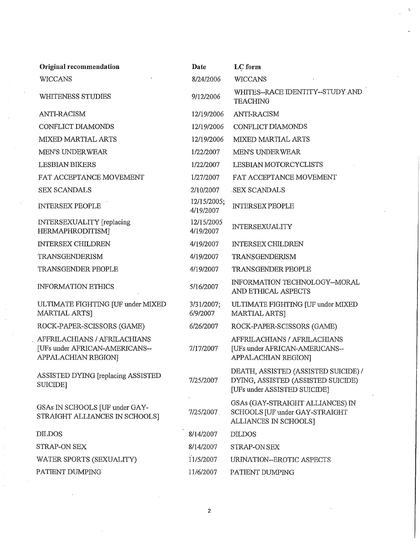| Original recommendation                                                               | Date                     | LC form                                                                                                    |
|---------------------------------------------------------------------------------------|--------------------------|------------------------------------------------------------------------------------------------------------|
| <b>WICCANS</b>                                                                        | 8/24/2006                | <b>WICCANS</b>                                                                                             |
| WHITENESS STUDIES                                                                     | 9/12/2006                | WHITES--RACE IDENTITY--STUDY AND<br><b>TEACHING</b>                                                        |
| ANTI-RACISM                                                                           | 12/19/2006               | <b>ANTI-RACISM</b>                                                                                         |
| CONFLICT DIAMONDS                                                                     | 12/19/2006               | CONFLICT DIAMONDS                                                                                          |
| MIXED MARTIAL ARTS                                                                    | 12/19/2006               | <b>MIXED MARTIAL ARTS</b>                                                                                  |
| <b>MEN'S UNDERWEAR</b>                                                                | 1/22/2007                | MEN'S UNDERWEAR                                                                                            |
| <b>LESBIAN BIKERS</b>                                                                 | 1/22/2007                | LESBIAN MOTORCYCLISTS                                                                                      |
| FAT ACCEPTANCE MOVEMENT                                                               | 1/27/2007                | FAT ACCEPTANCE MOVEMENT                                                                                    |
| <b>SEX SCANDALS</b>                                                                   | 2/10/2007                | <b>SEX SCANDALS</b>                                                                                        |
| <b>INTERSEX PEOPLE</b>                                                                | 12/15/2005;<br>4/19/2007 | <b>INTERSEX PEOPLE</b>                                                                                     |
| INTERSEXUALITY [replacing<br>HERMAPHRODITISM]                                         | 12/15/2005<br>4/19/2007  | <b>INTERSEXUALITY</b>                                                                                      |
| <b>INTERSEX CHILDREN</b>                                                              | 4/19/2007                | <b>INTERSEX CHILDREN</b>                                                                                   |
| TRANSGENDERISM                                                                        | 4/19/2007                | TRANSGENDERISM                                                                                             |
| TRANSGENDER PEOPLE                                                                    | 4/19/2007                | TRANSGENDER PEOPLE                                                                                         |
| <b>INFORMATION ETHICS</b>                                                             | 5/16/2007                | INFORMATION TECHNOLOGY-MORAL<br>AND ETHICAL ASPECTS                                                        |
| ULTIMATE FIGHTING [UF under MIXED<br>MARTIAL ARTS]                                    | 3/31/2007;<br>6/9/2007   | ULTIMATE FIGHTING [UF under MIXED<br>MARTIAL ARTS]                                                         |
| ROCK-PAPER-SCISSORS (GAME)                                                            | 6/26/2007                | ROCK-PAPER-SCISSORS (GAME)                                                                                 |
| AFFRILACHIANS / AFRILACHIANS<br>[UFs under AFRICAN-AMERICANS--<br>APPALACHIAN REGION] | 7/17/2007                | AFFRILACHIANS / AFRILACHIANS<br>[UFs under AFRICAN-AMERICANS--<br>APPALACHIAN REGION]                      |
| ASSISTED DYING [replacing ASSISTED<br>SUICIDE]                                        | 7/25/2007                | DEATH, ASSISTED (ASSISTED SUICIDE) /<br>DYING, ASSISTED (ASSISTED SUICIDE)<br>[UFs under ASSISTED SUICIDE] |
| GSAs IN SCHOOLS [UF under GAY-<br>STRAIGHT ALLIANCES IN SCHOOLS]                      | 7/25/2007                | GSAs (GAY-STRAIGHT ALLIANCES) IN<br>SCHOOLS [UF under GAY-STRAIGHT<br>ALLIANCES IN SCHOOLS]                |
| <b>DILDOS</b>                                                                         | 8/14/2007                | <b>DILDOS</b>                                                                                              |
| STRAP-ON SEX                                                                          | 8/14/2007                | STRAP-ON SEX                                                                                               |
| WATER SPORTS (SEXUALITY)                                                              | 11/5/2007                | URINATION--EROTIC ASPECTS                                                                                  |
| PATIENT DUMPING                                                                       | 11/6/2007                | PATIENT DUMPING                                                                                            |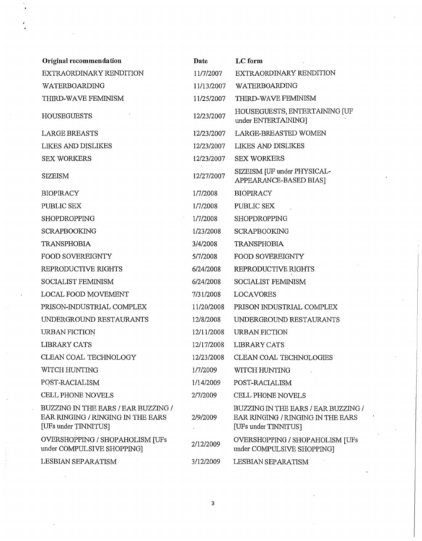| Original recommendation                                                                          | Date       | LC form                                                                                          |
|--------------------------------------------------------------------------------------------------|------------|--------------------------------------------------------------------------------------------------|
| EXTRAORDINARY RENDITION                                                                          | 11/7/2007  | EXTRAORDINARY RENDITION                                                                          |
| WATERBOARDING                                                                                    | 11/13/2007 | WATERBOARDING                                                                                    |
| THIRD-WAVE FEMINISM                                                                              | 11/25/2007 | THIRD-WAVE FEMINISM                                                                              |
| <b>HOUSEGUESTS</b>                                                                               | 12/23/2007 | HOUSEGUESTS, ENTERTAINING [UF<br>under ENTERTAINING]                                             |
| <b>LARGE BREASTS</b>                                                                             | 12/23/2007 | <b>LARGE-BREASTED WOMEN</b>                                                                      |
| <b>LIKES AND DISLIKES</b>                                                                        | 12/23/2007 | <b>LIKES AND DISLIKES</b>                                                                        |
| <b>SEX WORKERS</b>                                                                               | 12/23/2007 | <b>SEX WORKERS</b>                                                                               |
| <b>SIZEISM</b>                                                                                   | 12/27/2007 | SIZEISM [UF under PHYSICAL-<br>APPEARANCE-BASED BIAS]                                            |
| <b>BIOPIRACY</b>                                                                                 | 1/7/2008   | <b>BIOPIRACY</b>                                                                                 |
| PUBLIC SEX                                                                                       | 1/7/2008   | PUBLIC SEX                                                                                       |
| SHOPDROPPING                                                                                     | 1/7/2008   | SHOPDROPPING                                                                                     |
| <b>SCRAPBOOKING</b>                                                                              | 1/23/2008  | <b>SCRAPBOOKING</b>                                                                              |
| <b>TRANSPHOBIA</b>                                                                               | 3/4/2008   | <b>TRANSPHOBIA</b>                                                                               |
| FOOD SOVEREIGNTY                                                                                 | 5/7/2008   | FOOD SOVEREIGNTY                                                                                 |
| REPRODUCTIVE RIGHTS                                                                              | 6/24/2008  | REPRODUCTIVE RIGHTS                                                                              |
| SOCIALIST FEMINISM                                                                               | 6/24/2008  | SOCIALIST FEMINISM                                                                               |
| LOCAL FOOD MOVEMENT                                                                              | 7/31/2008  | <b>LOCAVORES</b>                                                                                 |
| PRISON-INDUSTRIAL COMPLEX                                                                        | 11/20/2008 | PRISON INDUSTRIAL COMPLEX                                                                        |
| UNDERGROUND RESTAURANTS                                                                          | 12/8/2008  | UNDERGROUND RESTAURANTS                                                                          |
| <b>URBAN FICTION</b>                                                                             | 12/11/2008 | <b>URBAN FICTION</b>                                                                             |
| <b>LIBRARY CATS</b>                                                                              | 12/17/2008 | LIBRARY CATS                                                                                     |
| CLEAN COAL TECHNOLOGY                                                                            | 12/23/2008 | CLEAN COAL TECHNOLOGIES                                                                          |
| WITCH HUNTING                                                                                    | 1/7/2009   | WITCH HUNTING                                                                                    |
| POST-RACIALISM                                                                                   | 1/14/2009  | POST-RACIALISM                                                                                   |
| CELL PHONE NOVELS                                                                                | 2/7/2009   | CELL PHONE NOVELS                                                                                |
| BUZZING IN THE EARS / EAR BUZZING /<br>EAR RINGING / RINGING IN THE EARS<br>[UFs under TINNITUS] | 2/9/2009   | BUZZING IN THE EARS / EAR BUZZING /<br>EAR RINGING / RINGING IN THE EARS<br>[UFs under TINNITUS] |
| OVERSHOPPING / SHOPAHOLISM [UFs<br>under COMPULSIVE SHOPPING]                                    | 2/12/2009  | OVERSHOPPING / SHOPAHOLISM [UFs<br>under COMPULSIVE SHOPPING]                                    |
| LESBIAN SEPARATISM                                                                               | 3/12/2009  | LESBIAN SEPARATISM                                                                               |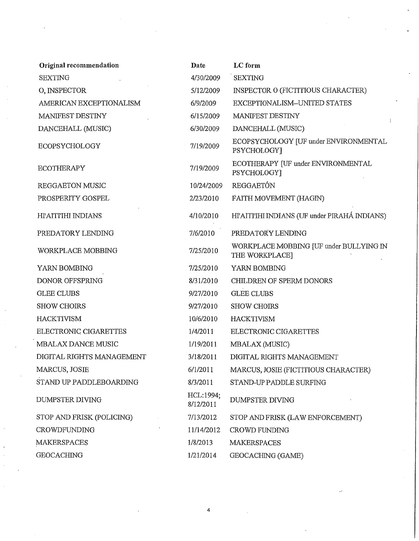| Original recommendation   | Date                   | LC form                                                   |
|---------------------------|------------------------|-----------------------------------------------------------|
| <b>SEXTING</b>            | 4/30/2009              | <b>SEXTING</b>                                            |
| O, INSPECTOR              | 5/12/2009              | INSPECTOR O (FICTITIOUS CHARACTER)                        |
| AMERICAN EXCEPTIONALISM   | 6/9/2009               | EXCEPTIONALISM--UNITED STATES                             |
| MANIFEST DESTINY          | 6/15/2009              | MANIFEST DESTINY<br>÷                                     |
| DANCEHALL (MUSIC)         | 6/30/2009              | DANCEHALL (MUSIC)                                         |
| ECOPSYCHOLOGY             | 7/19/2009              | ECOPSYCHOLOGY [UF under ENVIRONMENTAL<br>PSYCHOLOGY]      |
| <b>ECOTHERAPY</b>         | 7/19/2009              | ECOTHERAPY [UF under ENVIRONMENTAL<br>PSYCHOLOGY]         |
| REGGAETON MUSIC           | 10/24/2009             | REGGAETÓN                                                 |
| PROSPERITY GOSPEL         | 2/23/2010              | FAITH MOVEMENT (HAGIN)                                    |
| HI'AITI'IHI INDIANS       | 4/10/2010              | HI'AITI'IHI INDIANS (UF under PIRAHÁ INDIANS)             |
| PREDATORY LENDING         | 7/6/2010               | PREDATORY LENDING                                         |
| WORKPLACE MOBBING         | 7/25/2010              | WORKPLACE MOBBING JUF under BULLYING IN<br>THE WORKPLACE] |
| YARN BOMBING              | 7/25/2010              | YARN BOMBING                                              |
| DONOR OFFSPRING           | 8/31/2010              | CHILDREN OF SPERM DONORS                                  |
| <b>GLEE CLUBS</b>         | 9/27/2010              | <b>GLEE CLUBS</b>                                         |
| <b>SHOW CHOIRS</b>        | 9/27/2010              | <b>SHOW CHOIRS</b>                                        |
| <b>HACKTIVISM</b>         | 10/6/2010              | <b>HACKTIVISM</b>                                         |
| ELECTRONIC CIGARETTES     | 1/4/2011               | ELECTRONIC CIGARETTES                                     |
| MBALAX DANCE MUSIC        | 1/19/2011              | MBALAX (MUSIC)                                            |
| DIGITAL RIGHTS MANAGEMENT | 3/18/2011              | DIGITAL RIGHTS MANAGEMENT                                 |
| MARCUS, JOSIE             | 6/1/2011               | MARCUS, JOSIE (FICTITIOUS CHARACTER)                      |
| STAND UP PADDLEBOARDING   | 8/3/2011               | STAND-UP PADDLE SURFING                                   |
| <b>DUMPSTER DIVING</b>    | HCL:1994;<br>8/12/2011 | <b>DUMPSTER DIVING</b>                                    |
| STOP AND FRISK (POLICING) | 7/13/2012              | STOP AND FRISK (LAW ENFORCEMENT)                          |
| <b>CROWDFUNDING</b>       | 11/14/2012             | CROWD FUNDING                                             |
| <b>MAKERSPACES</b>        | 1/8/2013               | <b>MAKERSPACES</b>                                        |
| <b>GEOCACHING</b>         | 1/21/2014              | GEOCACHING (GAME)                                         |

4

 $\label{eq:2.1} \frac{1}{2} \sum_{i=1}^n \frac{1}{2} \sum_{j=1}^n \frac{1}{2} \sum_{j=1}^n \frac{1}{2} \sum_{j=1}^n \frac{1}{2} \sum_{j=1}^n \frac{1}{2} \sum_{j=1}^n \frac{1}{2} \sum_{j=1}^n \frac{1}{2} \sum_{j=1}^n \frac{1}{2} \sum_{j=1}^n \frac{1}{2} \sum_{j=1}^n \frac{1}{2} \sum_{j=1}^n \frac{1}{2} \sum_{j=1}^n \frac{1}{2} \sum_{j=1}^n \frac{$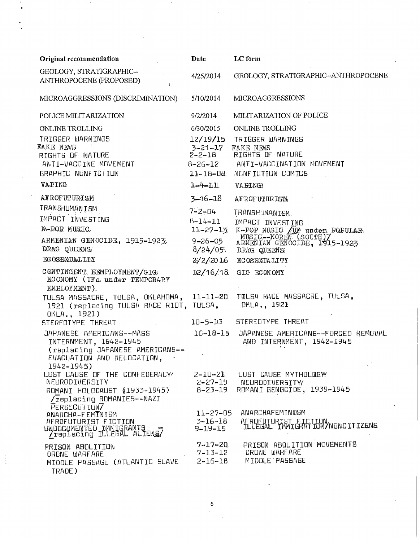| Original recommendation                                                                                                           | Date                           | LC form                                                                                 |
|-----------------------------------------------------------------------------------------------------------------------------------|--------------------------------|-----------------------------------------------------------------------------------------|
| GEOLOGY, STRATIGRAPHIC--<br>ANTHROPOCENE (PROPOSED)                                                                               | 4/25/2014                      | GEOLOGY, STRATIGRAPHIC--ANTHROPOCENE                                                    |
| MICROAGGRESSIONS (DISCRIMINATION)                                                                                                 | 5/10/2014                      | <b>MICROAGGRESSIONS</b>                                                                 |
| POLICE MILITARIZATION                                                                                                             | 9/2/2014                       | MILITARIZATION OF POLICE                                                                |
| ONLINE TROLLING                                                                                                                   | 6/30/2015                      | ONLINE TROLLING                                                                         |
| TRIGGER WARNINGS                                                                                                                  | 12/19/15                       | TRIGGER WARNINGS                                                                        |
| FAKE NEWS                                                                                                                         | $3 - 21 - 17$                  | FAKE NEWS                                                                               |
| RIGHTS OF NATURE                                                                                                                  | $2 - 2 - 18$                   | RIGHTS OF NATURE                                                                        |
| ANTI-VACCINE MOVEMENT<br>GRAPHIC NONFICTION                                                                                       |                                | 8-26-12 ANTI-VACCINATION MOVEMENT<br>11-18-08 NONFICTION COMICS                         |
|                                                                                                                                   |                                |                                                                                         |
| VAPING                                                                                                                            | $1 - 4 - 11$                   | VAPING                                                                                  |
| <b>AFROFUTURISM</b>                                                                                                               | 3–16–18                        | <b>AFROFUTURISM</b>                                                                     |
| TRANSHUMANISM                                                                                                                     | $7 - 2 - 04$                   | TRANSHUMANISM.                                                                          |
| IMPACT INVESTING                                                                                                                  | $B - 14 - 11$                  | IMPACT INVESTING                                                                        |
| K-POR MUSIC                                                                                                                       | $11 - 27 - 13$                 |                                                                                         |
| ARMENIAN GENOCIDE, 1915-1923                                                                                                      | $9 - 26 - 05$                  | K-POP MUSIC (UF under POPULAR<br>MUSIC--KOREA (SOUTH) 7<br>ARMENIAN GENOCIDE, 1915-1923 |
| DRAG QUEENS.                                                                                                                      | 8/24/05.                       | DRAG QUEENS                                                                             |
| <b>ECOSEXUALITY</b>                                                                                                               | 2/2/2016                       | <b>ECOSEXUALITY</b>                                                                     |
| CONTINGENT. EEMPLOYMENT/GIG<br><b>ECONOMY</b> (UFs. under TEMPORARY<br>EMPLOYMENT).                                               | 12/16/18                       | GIG ECONOMY                                                                             |
| TULSA MASSACRE, TULSA, OKLAHOMA, 11-11-20<br>1921 (replacing TULSA RACE RIOT, TULSA,<br>OKLA., 1921)                              |                                | TWLSA RACE MASSACRE, TULSA,<br>DKLA., 1921                                              |
| STEREOTYPE THREAT                                                                                                                 | $10 - 5 - 13$                  | STEREOTYPE THREAT                                                                       |
| JAPANESE AMERICANS--MASS<br>INTERNMENT, 1842-1945<br>(replacing JAPANESE AMERICANS --<br>EVACUATION AND RELOCATION,<br>1942-1945) | $10 - 18 - 15$                 | JAPANESE AMERICANS--FORCED REMOVAL<br>AND INTERNMENT, 1942-1945                         |
| LOST CAUSE OF THE CONFEDERACY                                                                                                     |                                | 2-10-21 LOST CAUSE MYTHOLOGW                                                            |
| NEURODIVERSITY                                                                                                                    |                                | 2-27-19 NEURODIVERSITY                                                                  |
| ROMANI HOLOCAUST (1933-1945)<br>/replacing ROMANIES--NAZI<br>PERSECUTION7                                                         | 8-23-19<br>$11 - 27 - 05$      | ROMANI GENOCIDE, 1939-1945<br>ANARCHAFEMINDSM                                           |
| ANARCHA-FEMINISM<br>AFROFUTURIST FICTION<br>UNDOCUMENTED IMMIGRANTS<br>/replacing ILLEGAL ALIENS/                                 | $3 - 16 - 18$<br>$9 - 19 - 15$ | AFROFUTURIST FICTION/NONCITIZENS                                                        |
| PRISON ABOLITION<br>DRONE WARFARE<br>MIDDLE PASSAGE (ATLANTIC SLAVE 2-16-18<br>TRADE)                                             | $7 - 17 - 20$<br>$7 - 13 - 12$ | PRISON ABOLITION MOVEMENTS<br>DRONE WARFARE<br>MIDDLE PASSAGE                           |

 $\overline{5}$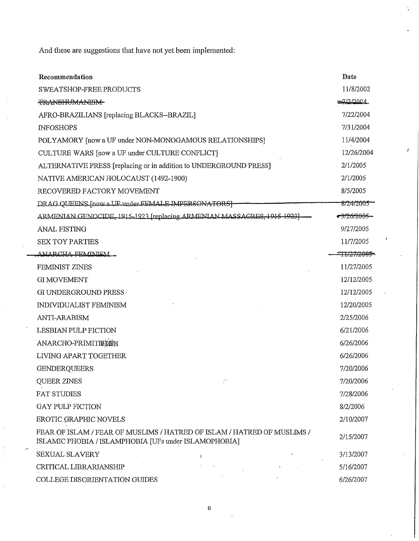And these are suggestions that have not yet been implemented:

| Recommendation                                                                                                                   | Date                     |
|----------------------------------------------------------------------------------------------------------------------------------|--------------------------|
| <b>SWEATSHOP-FREE PRODUCTS</b>                                                                                                   | 11/8/2002                |
| <b>TRANSHUMANISM</b>                                                                                                             | <del>. 7/2/2</del> 004   |
| AFRO-BRAZILIANS [replacing BLACKS--BRAZIL]                                                                                       | 7/22/2004                |
| <b>INFOSHOPS</b>                                                                                                                 | 7/31/2004                |
| POLYAMORY [now a UF under NON-MONOGAMOUS RELATIONSHIPS]                                                                          | 11/4/2004                |
| CULTURE WARS [now a UF under CULTURE CONFLICT]                                                                                   | 12/26/2004               |
| ALTERNATIVE PRESS [replacing or in addition to UNDERGROUND PRESS]                                                                | 2/1/2005                 |
| NATIVE AMERICAN HOLOCAUST (1492-1900)                                                                                            | 2/1/2005                 |
| RECOVERED FACTORY MOVEMENT                                                                                                       | 8/5/2005                 |
| DRAG QUEENS [now a UE under FEMALE IMPERSONATORS]                                                                                | 8/24/2005 -              |
| ARMENIAN GENOCIDE, 1915-1923 [replacing ARMENIAN MASSACRES, 1915-1923]                                                           | <del>-9/26/2005 -</del>  |
| <b>ANAL FISTING</b>                                                                                                              | 9/27/2005                |
| <b>SEX TOY PARTIES</b>                                                                                                           | 11/7/2005                |
| ANARCHA FEMINISM.                                                                                                                | <del>-11727/2005 -</del> |
| FEMINIST ZINES                                                                                                                   | 11/27/2005               |
| <b>GI MOVEMENT</b>                                                                                                               | 12/12/2005               |
| GI UNDERGROUND PRESS                                                                                                             | 12/12/2005               |
| <b>INDIVIDUALIST FEMINISM</b>                                                                                                    | 12/20/2005               |
| <b>ANTI-ARABISM</b>                                                                                                              | 2/25/2006                |
| <b>LESBIAN PULP FICTION</b>                                                                                                      | 6/21/2006                |
| ANARCHO-PRIMITIELSM                                                                                                              | 6/26/2006                |
| LIVING APART TOGETHER                                                                                                            | 6/26/2006                |
| <b>GENDERQUEERS</b>                                                                                                              | 7/20/2006                |
| $\mathbb{R}^n$<br>QUEER ZINES                                                                                                    | 7/20/2006                |
| <b>FAT STUDIES</b>                                                                                                               | 7/28/2006                |
| GAY PULP FICTION                                                                                                                 | 8/2/2006                 |
| EROTIC GRAPHIC NOVELS                                                                                                            | 2/10/2007                |
| FEAR OF ISLAM / FEAR OF MUSLIMS / HATRED OF ISLAM / HATRED OF MUSLIMS /<br>ISLAMIC PHOBIA / ISLAMPHOBIA [UFs under ISLAMOPHOBIA] | 2/15/2007                |
| SEXUAL SLAVERY<br>$\mathbf{1}$                                                                                                   | 3/13/2007                |
| CRITICAL LIBRARIANSHIP                                                                                                           | 5/16/2007                |
| COLLEGE DISORIENTATION GUIDES                                                                                                    | 6/26/2007                |

è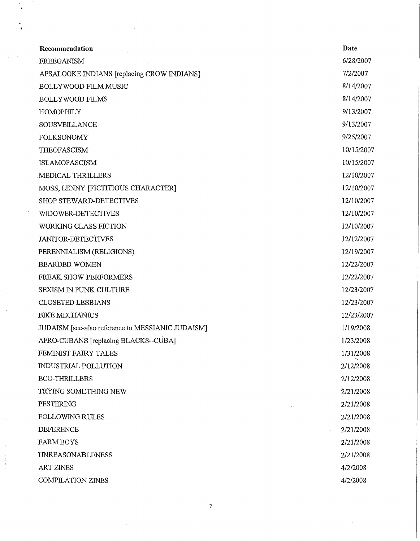| Recommendation                                    | Date       |
|---------------------------------------------------|------------|
| FREEGANISM                                        | 6/28/2007  |
| APSALOOKE INDIANS [replacing CROW INDIANS]        | 7/2/2007   |
| BOLLYWOOD FILM MUSIC                              | 8/14/2007  |
| <b>BOLLYWOOD FILMS</b>                            | 8/14/2007  |
| <b>HOMOPHILY</b>                                  | 9/13/2007  |
| SOUSVEILLANCE                                     | 9/13/2007  |
| <b>FOLKSONOMY</b>                                 | 9/25/2007  |
| THEOFASCISM                                       | 10/15/2007 |
| <b>ISLAMOFASCISM</b>                              | 10/15/2007 |
| MEDICAL THRILLERS                                 | 12/10/2007 |
| MOSS, LENNY [FICTITIOUS CHARACTER]                | 12/10/2007 |
| SHOP STEWARD-DETECTIVES                           | 12/10/2007 |
| WIDOWER-DETECTIVES                                | 12/10/2007 |
| WORKING CLASS FICTION                             | 12/10/2007 |
| <b>JANITOR-DETECTIVES</b>                         | 12/12/2007 |
| PERENNIALISM (RELIGIONS)                          | 12/19/2007 |
| <b>BEARDED WOMEN</b>                              | 12/22/2007 |
| FREAK SHOW PERFORMERS                             | 12/22/2007 |
| SEXISM IN PUNK CULTURE                            | 12/23/2007 |
| <b>CLOSETED LESBIANS</b>                          | 12/23/2007 |
| <b>BIKE MECHANICS</b>                             | 12/23/2007 |
| JUDAISM [see-also reference to MESSIANIC JUDAISM] | 1/19/2008  |
| AFRO-CUBANS [replacing BLACKS--CUBA]              | 1/23/2008  |
| FEMINIST FAIRY TALES                              | 1/31/2008  |
| INDUSTRIAL POLLUTION                              | 2/12/2008  |
| <b>ECO-THRILLERS</b>                              | 2/12/2008  |
| TRYING SOMETHING NEW                              | 2/21/2008  |
| PESTERING                                         | 2/21/2008  |
| <b>FOLLOWING RULES</b>                            | 2/21/2008  |
| DEFERENCE                                         | 2/21/2008  |
| <b>FARM BOYS</b>                                  | 2/21/2008  |
| <b>UNREASONABLENESS</b>                           | 2/21/2008  |
| <b>ART ZINES</b>                                  | 4/2/2008   |
| <b>COMPILATION ZINES</b>                          | 4/2/2008   |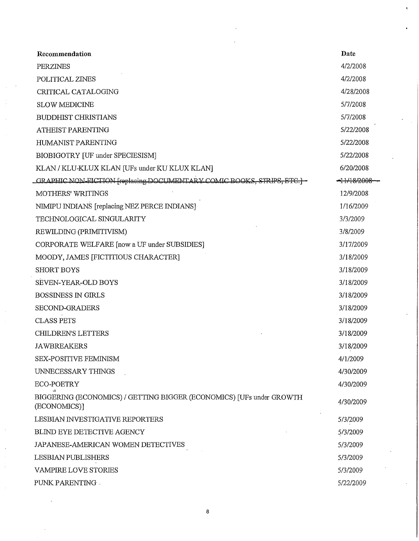| Recommendation                                                                       | Date                   |
|--------------------------------------------------------------------------------------|------------------------|
| PERZINES                                                                             | 4/2/2008               |
| POLITICAL ZINES                                                                      | 4/2/2008               |
| CRITICAL CATALOGING                                                                  | 4/28/2008              |
| <b>SLOW MEDICINE</b>                                                                 | 5/7/2008               |
| <b>BUDDHIST CHRISTIANS</b>                                                           | 5/7/2008               |
| ATHEIST PARENTING                                                                    | 5/22/2008              |
| HUMANIST PARENTING                                                                   | 5/22/2008              |
| BIOBIGOTRY [UF under SPECIESISM]                                                     | 5/22/2008              |
| KLAN / KLU-KLUX KLAN [UFs under KU KLUX KLAN]                                        | 6/20/2008              |
| GRAPHIC NON-FICTION [replacing DOCUMENTARY COMIC BOOKS, STRIPS, ETC.] -              | <del>-11/18/2008</del> |
| <b>MOTHERS' WRITINGS</b>                                                             | 12/9/2008              |
| NIMIPU INDIANS [replacing NEZ PERCE INDIANS]                                         | 1/16/2009              |
| TECHNOLOGICAL SINGULARITY                                                            | 3/3/2009               |
| REWILDING (PRIMITIVISM)                                                              | 3/8/2009               |
| CORPORATE WELFARE [now a UF under SUBSIDIES]                                         | 3/17/2009              |
| MOODY, JAMES [FICTITIOUS CHARACTER]                                                  | 3/18/2009              |
| <b>SHORT BOYS</b>                                                                    | 3/18/2009              |
| SEVEN-YEAR-OLD BOYS                                                                  | 3/18/2009              |
| <b>BOSSINESS IN GIRLS</b>                                                            | 3/18/2009              |
| SECOND-GRADERS                                                                       | 3/18/2009              |
| <b>CLASS PETS</b>                                                                    | 3/18/2009              |
| <b>CHILDREN'S LETTERS</b>                                                            | 3/18/2009              |
| <b>JAWBREAKERS</b>                                                                   | 3/18/2009              |
| SEX-POSITIVE FEMINISM                                                                | 4/1/2009               |
| UNNECESSARY THINGS                                                                   | 4/30/2009              |
| <b>ECO-POETRY</b>                                                                    | 4/30/2009              |
| BIGGERING (ECONOMICS) / GETTING BIGGER (ECONOMICS) [UFs under GROWTH<br>(ECONOMICS)] | 4/30/2009              |
| LESBIAN INVESTIGATIVE REPORTERS                                                      | 5/3/2009               |
| BLIND EYE DETECTIVE AGENCY                                                           | 5/3/2009               |
| JAPANESE-AMERICAN WOMEN DETECTIVES                                                   | 5/3/2009               |
| LESBIAN PUBLISHERS                                                                   | 5/3/2009               |
| VAMPIRE LOVE STORIES                                                                 | 5/3/2009               |
| PUNK PARENTING .                                                                     | 5/22/2009              |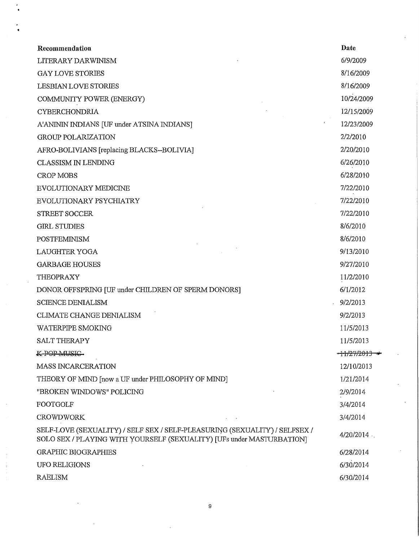| Recommendation                                                                                                                                      | Date                     |
|-----------------------------------------------------------------------------------------------------------------------------------------------------|--------------------------|
| LITERARY DARWINISM                                                                                                                                  | 6/9/2009                 |
| <b>GAY LOVE STORIES</b>                                                                                                                             | 8/16/2009                |
| LESBIAN LOVE STORIES                                                                                                                                | 8/16/2009                |
| COMMUNITY POWER (ENERGY)                                                                                                                            | 10/24/2009               |
| <b>CYBERCHONDRIA</b>                                                                                                                                | 12/15/2009               |
| A'ANININ INDIANS [UF under ATSINA INDIANS]                                                                                                          | 12/23/2009               |
| <b>GROUP POLARIZATION</b>                                                                                                                           | 2/2/2010                 |
| AFRO-BOLIVIANS [replacing BLACKS--BOLIVIA]                                                                                                          | 2/20/2010                |
| <b>CLASSISM IN LENDING</b>                                                                                                                          | 6/26/2010                |
| <b>CROP MOBS</b>                                                                                                                                    | 6/28/2010                |
| <b>EVOLUTIONARY MEDICINE</b>                                                                                                                        | 7/22/2010                |
| EVOLUTIONARY PSYCHIATRY                                                                                                                             | 7/22/2010                |
| <b>STREET SOCCER</b>                                                                                                                                | 7/22/2010                |
| <b>GIRL STUDIES</b>                                                                                                                                 | 8/6/2010                 |
| <b>POSTFEMINISM</b>                                                                                                                                 | 8/6/2010                 |
| <b>LAUGHTER YOGA</b>                                                                                                                                | 9/13/2010                |
| <b>GARBAGE HOUSES</b>                                                                                                                               | 9/27/2010                |
| THEOPRAXY                                                                                                                                           | 11/2/2010                |
| DONOR OFFSPRING [UF under CHILDREN OF SPERM DONORS]                                                                                                 | 6/1/2012                 |
| <b>SCIENCE DENIALISM</b>                                                                                                                            | 9/2/2013                 |
| <b>CLIMATE CHANGE DENIALISM</b>                                                                                                                     | 9/2/2013                 |
| <b>WATERPIPE SMOKING</b>                                                                                                                            | 11/5/2013                |
| SALT THERAPY                                                                                                                                        | 11/5/2013                |
| K-POP MUSIC                                                                                                                                         | <del>-11/27/2013 -</del> |
| <b>MASS INCARCERATION</b>                                                                                                                           | 12/10/2013               |
| THEORY OF MIND [now a UF under PHILOSOPHY OF MIND]                                                                                                  | 1/21/2014                |
| "BROKEN WINDOWS" POLICING                                                                                                                           | 2/9/2014                 |
| <b>FOOTGOLF</b>                                                                                                                                     | 3/4/2014                 |
| <b>CROWDWORK</b>                                                                                                                                    | 3/4/2014                 |
| SELF-LOVE (SEXUALITY) / SELF SEX / SELF-PLEASURING (SEXUALITY) / SELFSEX /<br>SOLO SEX / PLAYING WITH YOURSELF (SEXUALITY) [UFs under MASTURBATION] | 4/20/2014                |
| <b>GRAPHIC BIOGRAPHIES</b>                                                                                                                          | 6/28/2014                |
| UFO RELIGIONS                                                                                                                                       | 6/30/2014                |
| <b>RAELISM</b>                                                                                                                                      | 6/30/2014                |
|                                                                                                                                                     |                          |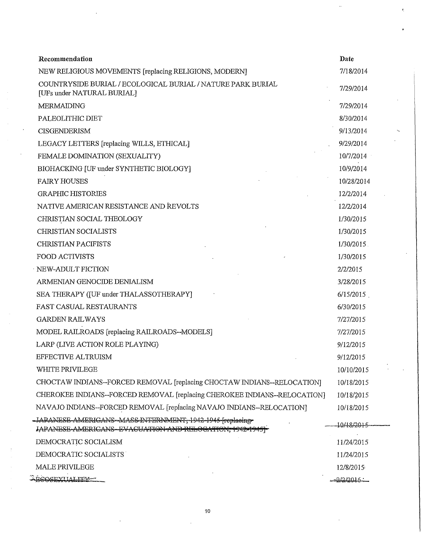| Recommendation                                                                                                         | Date          |
|------------------------------------------------------------------------------------------------------------------------|---------------|
| NEW RELIGIOUS MOVEMENTS [replacing RELIGIONS, MODERN]                                                                  | 7/18/2014     |
| COUNTRYSIDE BURIAL / ECOLOGICAL BURIAL / NATURE PARK BURIAL<br>[UFs under NATURAL BURIAL]                              | 7/29/2014     |
| <b>MERMAIDING</b>                                                                                                      | 7/29/2014     |
| PALEOLITHIC DIET                                                                                                       | 8/30/2014     |
| <b>CISGENDERISM</b>                                                                                                    | 9/13/2014     |
| LEGACY LETTERS [replacing WILLS, ETHICAL]                                                                              | 9/29/2014     |
| FEMALE DOMINATION (SEXUALITY)                                                                                          | 10/7/2014     |
| BIOHACKING [UF under SYNTHETIC BIOLOGY]                                                                                | 10/9/2014     |
| <b>FAIRY HOUSES</b>                                                                                                    | 10/28/2014    |
| <b>GRAPHIC HISTORIES</b>                                                                                               | 12/2/2014     |
| NATIVE AMERICAN RESISTANCE AND REVOLTS                                                                                 | 12/2/2014     |
| CHRISTIAN SOCIAL THEOLOGY                                                                                              | 1/30/2015     |
| CHRISTIAN SOCIALISTS                                                                                                   | 1/30/2015     |
| <b>CHRISTIAN PACIFISTS</b>                                                                                             | $1/30/2015$ . |
| <b>FOOD ACTIVISTS</b>                                                                                                  | 1/30/2015     |
| NEW-ADULT FICTION                                                                                                      | 2/2/2015      |
| ARMENIAN GENOCIDE DENIALISM                                                                                            | 3/28/2015     |
| SEA THERAPY (JUF under THALASSOTHERAPY)                                                                                | 6/15/2015     |
| FAST CASUAL RESTAURANTS                                                                                                | 6/30/2015     |
| <b>GARDEN RAILWAYS</b>                                                                                                 | 7/27/2015     |
| MODEL RAILROADS [replacing RAILROADS--MODELS]                                                                          | 7/27/2015     |
| LARP (LIVE ACTION ROLE PLAYING)                                                                                        | 9/12/2015     |
| EFFECTIVE ALTRUISM                                                                                                     | 9/12/2015     |
| WHITE PRIVILEGE                                                                                                        | 10/10/2015    |
| CHOCTAW INDIANS--FORCED REMOVAL [replacing CHOCTAW INDIANS--RELOCATION]                                                | 10/18/2015    |
| CHEROKEE INDIANS--FORCED REMOVAL [replacing CHEROKEE INDIANS--RELOCATION]                                              | 10/18/2015    |
| NAVAJO INDIANS--FORCED REMOVAL [replacing NAVAJO INDIANS--RELOCATION]                                                  | 10/18/2015    |
| - JAPANESE AMERICANS-MASS INFERNMENT, 1942-1945 froplacing<br>IAPANESE-AMERICANS-EVACUATION-AND RELOCATION, 1942-1945] | -10/18/2015   |
| DEMOCRATIC SOCIALISM                                                                                                   | 11/24/2015    |
| DEMOCRATIC SOCIALISTS                                                                                                  | 11/24/2015    |
| MALE PRIVILEGE                                                                                                         | 12/8/2015     |
| <b>BCOSEXUALITY-</b>                                                                                                   | $-2/2/2016$   |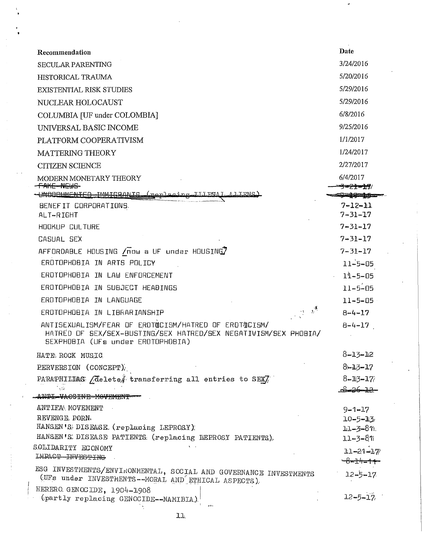| Date<br>Recommendation<br>3/24/2016<br><b>SECULAR PARENTING</b><br>5/20/2016<br>HISTORICAL TRAUMA<br>5/29/2016<br><b>EXISTENTIAL RISK STUDIES</b><br>5/29/2016<br>NUCLEAR HOLOCAUST<br>6/8/2016<br>COLUMBIA [UF under COLOMBIA]<br>9/25/2016<br>UNIVERSAL BASIC INCOME<br>1/1/2017<br>PLATFORM COOPERATIVISM<br>1/24/2017<br><b>MATTERING THEORY</b><br>2/27/2017<br><b>CITIZEN SCIENCE</b><br>6/4/2017<br>MODERN MONETARY THEORY<br><b>FAKE NEWS</b><br><b>STATE AND INCOME.</b><br>-UNDOCUMENTED IMMIGRANIS (Replacing III EGAI LA LIENS)<br>BENEFIT CORPORATIONS<br>$7 - 12 - 11$<br>$7 - 31 - 17$<br>ALT-RIGHT<br>$7 - 31 - 17$<br><b>HOOKUP CULTURE</b><br>$7 - 31 - 17$<br>CASUAL SEX<br>AFFORDABLE HOUSING /now a UF under HOUSING7<br>$7 - 31 - 17$<br>EROTOPHOBIA IN ARTS POLICY<br>$11 - 5 - 05$<br>EROTOPHOBIA IN LAW ENFORCEMENT<br>$11 - 5 - 05$<br>$11 - 5 - 05$<br>EROTOPHOBIA IN SUBJECT HEADINGS<br>EROTOPHOBIA IN LANGUAGE<br>$11 - 5 - 05$<br>and and the second second.<br>The second second second second second second second second second second second second second second second s<br>EROTOPHOBIA IN LIBRARIANSHIP<br>$8 - 4 - 17$<br>ANTISEXUALISM/FEAR OF EROTQCISM/HATRED OF EROTQCISM/<br>$8 - 4 - 17$<br>HATRED OF SEX/SEX-BUSTING/SEX HATRED/SEX NEGATIVISM/SEX PHOBIA/<br>SEXPHOBIA (UFs under EROTOPHOBIA)<br>$8 - 13 - 12$<br>HATE ROCK MUSIC<br>$8 - 13 - 17$<br>PERVERSION (CONCEPT)<br>PARAPHILIAS <i>Aelete transferring</i> all entries to SEX/<br>$8 - 13 - 17$<br>$\sim 10^3$<br><u>82672</u><br>ANTI VACCINE MOVEMENT<br>ANTIFA MOVEMENT<br>$9 - 1 - 17$<br>REVENGE PORN.<br>$10 - 5 - 13$<br>HANSEN'S DISEASE (replacing LEPROSY)<br>$11 - 3 - 8$ n.<br>HANSEN'S DISEASE PATIENTS (replacing IEPROSY PATIENTS).<br>$11 - 3 - 81$<br>SOLIDARITY ECONOMY<br>$11 - 21 - 17$<br>IMPACT-INVESTING<br><del>╰─8≖±</del> # <del>╾1≁</del><br>$12 - 5 - 17$<br>(UFs under INVESTMENTS--MORAL AND ETHICAL ASPECTS).<br>$12 - 5 - 17$<br>(partly replacing GENOCIDE--NAMIBIA) |                                                                  |  |
|-----------------------------------------------------------------------------------------------------------------------------------------------------------------------------------------------------------------------------------------------------------------------------------------------------------------------------------------------------------------------------------------------------------------------------------------------------------------------------------------------------------------------------------------------------------------------------------------------------------------------------------------------------------------------------------------------------------------------------------------------------------------------------------------------------------------------------------------------------------------------------------------------------------------------------------------------------------------------------------------------------------------------------------------------------------------------------------------------------------------------------------------------------------------------------------------------------------------------------------------------------------------------------------------------------------------------------------------------------------------------------------------------------------------------------------------------------------------------------------------------------------------------------------------------------------------------------------------------------------------------------------------------------------------------------------------------------------------------------------------------------------------------------------------------------------------------------------------------------------------------------------------------------------------------------------------------------------------------------------------------------------------|------------------------------------------------------------------|--|
|                                                                                                                                                                                                                                                                                                                                                                                                                                                                                                                                                                                                                                                                                                                                                                                                                                                                                                                                                                                                                                                                                                                                                                                                                                                                                                                                                                                                                                                                                                                                                                                                                                                                                                                                                                                                                                                                                                                                                                                                                 |                                                                  |  |
|                                                                                                                                                                                                                                                                                                                                                                                                                                                                                                                                                                                                                                                                                                                                                                                                                                                                                                                                                                                                                                                                                                                                                                                                                                                                                                                                                                                                                                                                                                                                                                                                                                                                                                                                                                                                                                                                                                                                                                                                                 |                                                                  |  |
|                                                                                                                                                                                                                                                                                                                                                                                                                                                                                                                                                                                                                                                                                                                                                                                                                                                                                                                                                                                                                                                                                                                                                                                                                                                                                                                                                                                                                                                                                                                                                                                                                                                                                                                                                                                                                                                                                                                                                                                                                 |                                                                  |  |
|                                                                                                                                                                                                                                                                                                                                                                                                                                                                                                                                                                                                                                                                                                                                                                                                                                                                                                                                                                                                                                                                                                                                                                                                                                                                                                                                                                                                                                                                                                                                                                                                                                                                                                                                                                                                                                                                                                                                                                                                                 |                                                                  |  |
|                                                                                                                                                                                                                                                                                                                                                                                                                                                                                                                                                                                                                                                                                                                                                                                                                                                                                                                                                                                                                                                                                                                                                                                                                                                                                                                                                                                                                                                                                                                                                                                                                                                                                                                                                                                                                                                                                                                                                                                                                 |                                                                  |  |
|                                                                                                                                                                                                                                                                                                                                                                                                                                                                                                                                                                                                                                                                                                                                                                                                                                                                                                                                                                                                                                                                                                                                                                                                                                                                                                                                                                                                                                                                                                                                                                                                                                                                                                                                                                                                                                                                                                                                                                                                                 |                                                                  |  |
|                                                                                                                                                                                                                                                                                                                                                                                                                                                                                                                                                                                                                                                                                                                                                                                                                                                                                                                                                                                                                                                                                                                                                                                                                                                                                                                                                                                                                                                                                                                                                                                                                                                                                                                                                                                                                                                                                                                                                                                                                 |                                                                  |  |
|                                                                                                                                                                                                                                                                                                                                                                                                                                                                                                                                                                                                                                                                                                                                                                                                                                                                                                                                                                                                                                                                                                                                                                                                                                                                                                                                                                                                                                                                                                                                                                                                                                                                                                                                                                                                                                                                                                                                                                                                                 |                                                                  |  |
|                                                                                                                                                                                                                                                                                                                                                                                                                                                                                                                                                                                                                                                                                                                                                                                                                                                                                                                                                                                                                                                                                                                                                                                                                                                                                                                                                                                                                                                                                                                                                                                                                                                                                                                                                                                                                                                                                                                                                                                                                 |                                                                  |  |
|                                                                                                                                                                                                                                                                                                                                                                                                                                                                                                                                                                                                                                                                                                                                                                                                                                                                                                                                                                                                                                                                                                                                                                                                                                                                                                                                                                                                                                                                                                                                                                                                                                                                                                                                                                                                                                                                                                                                                                                                                 |                                                                  |  |
|                                                                                                                                                                                                                                                                                                                                                                                                                                                                                                                                                                                                                                                                                                                                                                                                                                                                                                                                                                                                                                                                                                                                                                                                                                                                                                                                                                                                                                                                                                                                                                                                                                                                                                                                                                                                                                                                                                                                                                                                                 |                                                                  |  |
|                                                                                                                                                                                                                                                                                                                                                                                                                                                                                                                                                                                                                                                                                                                                                                                                                                                                                                                                                                                                                                                                                                                                                                                                                                                                                                                                                                                                                                                                                                                                                                                                                                                                                                                                                                                                                                                                                                                                                                                                                 |                                                                  |  |
|                                                                                                                                                                                                                                                                                                                                                                                                                                                                                                                                                                                                                                                                                                                                                                                                                                                                                                                                                                                                                                                                                                                                                                                                                                                                                                                                                                                                                                                                                                                                                                                                                                                                                                                                                                                                                                                                                                                                                                                                                 |                                                                  |  |
|                                                                                                                                                                                                                                                                                                                                                                                                                                                                                                                                                                                                                                                                                                                                                                                                                                                                                                                                                                                                                                                                                                                                                                                                                                                                                                                                                                                                                                                                                                                                                                                                                                                                                                                                                                                                                                                                                                                                                                                                                 |                                                                  |  |
|                                                                                                                                                                                                                                                                                                                                                                                                                                                                                                                                                                                                                                                                                                                                                                                                                                                                                                                                                                                                                                                                                                                                                                                                                                                                                                                                                                                                                                                                                                                                                                                                                                                                                                                                                                                                                                                                                                                                                                                                                 |                                                                  |  |
|                                                                                                                                                                                                                                                                                                                                                                                                                                                                                                                                                                                                                                                                                                                                                                                                                                                                                                                                                                                                                                                                                                                                                                                                                                                                                                                                                                                                                                                                                                                                                                                                                                                                                                                                                                                                                                                                                                                                                                                                                 |                                                                  |  |
|                                                                                                                                                                                                                                                                                                                                                                                                                                                                                                                                                                                                                                                                                                                                                                                                                                                                                                                                                                                                                                                                                                                                                                                                                                                                                                                                                                                                                                                                                                                                                                                                                                                                                                                                                                                                                                                                                                                                                                                                                 |                                                                  |  |
|                                                                                                                                                                                                                                                                                                                                                                                                                                                                                                                                                                                                                                                                                                                                                                                                                                                                                                                                                                                                                                                                                                                                                                                                                                                                                                                                                                                                                                                                                                                                                                                                                                                                                                                                                                                                                                                                                                                                                                                                                 |                                                                  |  |
|                                                                                                                                                                                                                                                                                                                                                                                                                                                                                                                                                                                                                                                                                                                                                                                                                                                                                                                                                                                                                                                                                                                                                                                                                                                                                                                                                                                                                                                                                                                                                                                                                                                                                                                                                                                                                                                                                                                                                                                                                 |                                                                  |  |
|                                                                                                                                                                                                                                                                                                                                                                                                                                                                                                                                                                                                                                                                                                                                                                                                                                                                                                                                                                                                                                                                                                                                                                                                                                                                                                                                                                                                                                                                                                                                                                                                                                                                                                                                                                                                                                                                                                                                                                                                                 |                                                                  |  |
|                                                                                                                                                                                                                                                                                                                                                                                                                                                                                                                                                                                                                                                                                                                                                                                                                                                                                                                                                                                                                                                                                                                                                                                                                                                                                                                                                                                                                                                                                                                                                                                                                                                                                                                                                                                                                                                                                                                                                                                                                 |                                                                  |  |
|                                                                                                                                                                                                                                                                                                                                                                                                                                                                                                                                                                                                                                                                                                                                                                                                                                                                                                                                                                                                                                                                                                                                                                                                                                                                                                                                                                                                                                                                                                                                                                                                                                                                                                                                                                                                                                                                                                                                                                                                                 |                                                                  |  |
|                                                                                                                                                                                                                                                                                                                                                                                                                                                                                                                                                                                                                                                                                                                                                                                                                                                                                                                                                                                                                                                                                                                                                                                                                                                                                                                                                                                                                                                                                                                                                                                                                                                                                                                                                                                                                                                                                                                                                                                                                 |                                                                  |  |
|                                                                                                                                                                                                                                                                                                                                                                                                                                                                                                                                                                                                                                                                                                                                                                                                                                                                                                                                                                                                                                                                                                                                                                                                                                                                                                                                                                                                                                                                                                                                                                                                                                                                                                                                                                                                                                                                                                                                                                                                                 |                                                                  |  |
|                                                                                                                                                                                                                                                                                                                                                                                                                                                                                                                                                                                                                                                                                                                                                                                                                                                                                                                                                                                                                                                                                                                                                                                                                                                                                                                                                                                                                                                                                                                                                                                                                                                                                                                                                                                                                                                                                                                                                                                                                 |                                                                  |  |
|                                                                                                                                                                                                                                                                                                                                                                                                                                                                                                                                                                                                                                                                                                                                                                                                                                                                                                                                                                                                                                                                                                                                                                                                                                                                                                                                                                                                                                                                                                                                                                                                                                                                                                                                                                                                                                                                                                                                                                                                                 |                                                                  |  |
|                                                                                                                                                                                                                                                                                                                                                                                                                                                                                                                                                                                                                                                                                                                                                                                                                                                                                                                                                                                                                                                                                                                                                                                                                                                                                                                                                                                                                                                                                                                                                                                                                                                                                                                                                                                                                                                                                                                                                                                                                 |                                                                  |  |
|                                                                                                                                                                                                                                                                                                                                                                                                                                                                                                                                                                                                                                                                                                                                                                                                                                                                                                                                                                                                                                                                                                                                                                                                                                                                                                                                                                                                                                                                                                                                                                                                                                                                                                                                                                                                                                                                                                                                                                                                                 |                                                                  |  |
|                                                                                                                                                                                                                                                                                                                                                                                                                                                                                                                                                                                                                                                                                                                                                                                                                                                                                                                                                                                                                                                                                                                                                                                                                                                                                                                                                                                                                                                                                                                                                                                                                                                                                                                                                                                                                                                                                                                                                                                                                 |                                                                  |  |
|                                                                                                                                                                                                                                                                                                                                                                                                                                                                                                                                                                                                                                                                                                                                                                                                                                                                                                                                                                                                                                                                                                                                                                                                                                                                                                                                                                                                                                                                                                                                                                                                                                                                                                                                                                                                                                                                                                                                                                                                                 |                                                                  |  |
|                                                                                                                                                                                                                                                                                                                                                                                                                                                                                                                                                                                                                                                                                                                                                                                                                                                                                                                                                                                                                                                                                                                                                                                                                                                                                                                                                                                                                                                                                                                                                                                                                                                                                                                                                                                                                                                                                                                                                                                                                 |                                                                  |  |
|                                                                                                                                                                                                                                                                                                                                                                                                                                                                                                                                                                                                                                                                                                                                                                                                                                                                                                                                                                                                                                                                                                                                                                                                                                                                                                                                                                                                                                                                                                                                                                                                                                                                                                                                                                                                                                                                                                                                                                                                                 |                                                                  |  |
|                                                                                                                                                                                                                                                                                                                                                                                                                                                                                                                                                                                                                                                                                                                                                                                                                                                                                                                                                                                                                                                                                                                                                                                                                                                                                                                                                                                                                                                                                                                                                                                                                                                                                                                                                                                                                                                                                                                                                                                                                 | ESG INVESTMENTS/ENVIRONMENTAL, SOCIAL AND GOVERNANCE INVESTMENTS |  |
|                                                                                                                                                                                                                                                                                                                                                                                                                                                                                                                                                                                                                                                                                                                                                                                                                                                                                                                                                                                                                                                                                                                                                                                                                                                                                                                                                                                                                                                                                                                                                                                                                                                                                                                                                                                                                                                                                                                                                                                                                 | HERERO GENOCIDE, 1904-1908                                       |  |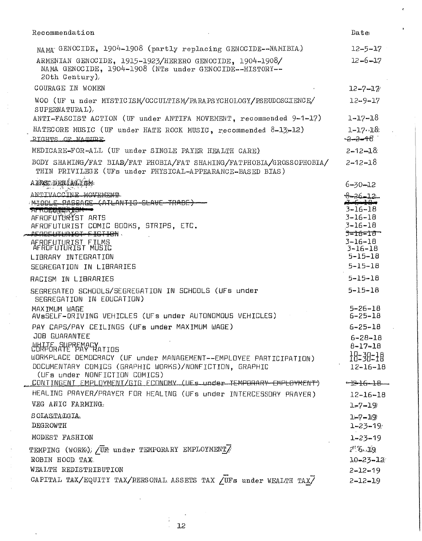| Recommendation                                                                                                                                                                                          | Date                                                                                              |
|---------------------------------------------------------------------------------------------------------------------------------------------------------------------------------------------------------|---------------------------------------------------------------------------------------------------|
| NAMA GENOCIDE, 1904-1908 (partly replacing GENOCIDE--NAMIBIA)<br>ARMENIAN GENOCIDE, 1915-1923/HERERO GENOCIDE, 1904-1908/<br>NAMA GENOCIDE, 1904-1908 (NTs under GENOCIDE--HISTORY--<br>$20th$ Century) | $12 - 5 - 17$<br>$12 - 6 - 17$                                                                    |
| COURAGE IN WOMEN                                                                                                                                                                                        | $12 - 7 - 17$                                                                                     |
| WOO (UF u nder MYSTICISM/OCCULTISM/PARAPSYCHOLOGY/PSEUDOSCIENCE/<br>SUPERNATURAL)                                                                                                                       | $12 - 9 - 17$                                                                                     |
| ANTI-FASCIST ACTION (UF under ANTIFA MOVEMENT, recommended 9-1-17)                                                                                                                                      | $1 - 17 - 18$                                                                                     |
| HATECORE MUSIC (UF under HATE ROCK MUSIC, recommended 8-13-12)<br>RIGHTS OF NATIOF                                                                                                                      | $1 - 17 - 18$<br>$-2 - 2 - 48$                                                                    |
| MEDICARE-FOR-ALL (UF under SINGLE PAYER HEALTH CARE)                                                                                                                                                    | $2 - 12 - 18$                                                                                     |
| BODY SHAMING/FAT BIAB/FAT PHOBIA/FAT SHAMING/FATPHOBIA/GROSSOPHOBIA/<br>THIN PRIVILEGE (UFs under PHYSICAL-APPEARANCE-BASED BIAS)                                                                       | $2 - 12 - 18$                                                                                     |
| ADDSS DENIALISM                                                                                                                                                                                         | $6 - 30 - 12$                                                                                     |
| ANTIVACCINE MOVEMENT<br>MIDDLE PASSAGE (ATLANTIC SLAVE TRADE)<br><b>ALTOCORUM 1911</b><br>AFROFUTURIST ARTS<br>AFROFUTURIST COMIC BOOKS, STRIPS, ETC.<br>AFROFUTURIST FISTISN                           | $8 - 26 - 12$<br><del>S-6-18-</del><br>$3 - 16 - 18$<br>$3 - 16 - 18$<br>$3 - 16 - 18$<br>3-16-18 |
| AFROFUTURIST FILMS<br>AFROFUTURIST MUSIC<br>LIBRARY INTEGRATION<br>SEGREGATION IN LIBRARIES                                                                                                             | $3 - 16 - 18$<br>$3 - 16 - 18$<br>$5 - 15 - 18$<br>$5 - 15 - 18$                                  |
| RACISM IN LIBRARIES                                                                                                                                                                                     | $5 - 15 - 18$                                                                                     |
| SEGREGATED SCHOOLS/SEGREGATION IN SCHOOLS (UFs under<br>SEGREGATION IN EDUCATION)                                                                                                                       | $5 - 15 - 18$                                                                                     |
| MAXIMUM WAGE<br>AVSSELF-DRIVING VEHICLES (UFs under AUTONOMOUS VEHICLES)                                                                                                                                | $5 - 26 - 18$<br>$6 - 25 - 18$                                                                    |
| PAY CAPS/PAY CEILINGS (UFs under MAXIMUM WAGE)                                                                                                                                                          | $6 - 25 - 18$                                                                                     |
| <b>JOB GUARANTEE</b><br>CUTTE SUPREMACY                                                                                                                                                                 | $6 - 28 - 18$<br>$B - 17 - 18$                                                                    |
| WORKPLACE DEMOCRACY (UF under MANAGEMENT--EMPLOYEE PARTICIPATION)<br>DOCUMENTARY COMICS (GRAPHIC WORKS)/NONFICTION, GRAPHIC<br>(UFs under NONFICTION COMICS)                                            | $\frac{10-30-18}{10}$<br>$12 - 16 - 18$                                                           |
| CONTINGENT EMPLOYMENT/GIG ECONOMY (UES under TEMPORARY EMPLOYMENT)                                                                                                                                      | $E - 16 - 18$                                                                                     |
| HEALING PRAYER/PRAYER FOR HEALING (UFs under INTERCESSORY PRAYER)                                                                                                                                       | $12 - 16 - 18$                                                                                    |
| VEG ANIC FARMING.                                                                                                                                                                                       | $1 - 7 - 19$                                                                                      |
| SOLASTALGIA.<br>DEGROWTH                                                                                                                                                                                | $1 - 7 - 19$<br>$1 - 23 - 19$                                                                     |
| MODEST FASHION                                                                                                                                                                                          | $1 - 23 - 19$                                                                                     |
| TEMPING (WORK); UT under TEMPORARY EMPLOYMENT<br>ROBIN HOOD TAX                                                                                                                                         | $2^{17}5 - 19$<br>$10 - 23 - 12$                                                                  |
| WEALTH REDISTRIBUTION<br>CAPITAL TAX/EQUITY TAX/RERSONAL ASSETS TAX / UFs under WEALTH TAX/                                                                                                             | $2 - 12 - 19$<br>$2 - 12 - 19$                                                                    |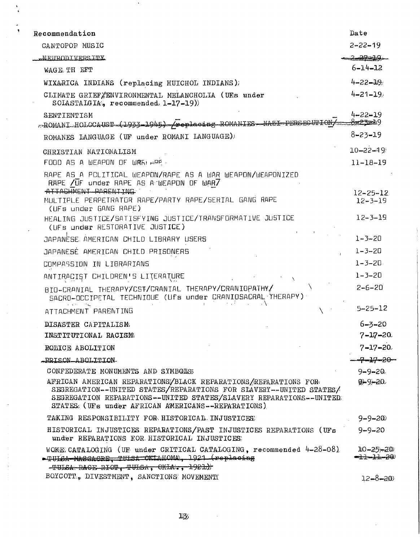| Recommendation                                                                                                                                                                                                                                                   | Date                                         |
|------------------------------------------------------------------------------------------------------------------------------------------------------------------------------------------------------------------------------------------------------------------|----------------------------------------------|
| CANTOPOP MUSIC                                                                                                                                                                                                                                                   | $2 - 22 - 19$                                |
| <u>MEIIRODI VERSITY</u>                                                                                                                                                                                                                                          | <u> 2 29 - 10 </u>                           |
| WAGE TH EFT                                                                                                                                                                                                                                                      | $6 - 14 - 12$                                |
| WIXARICA INDIANS (replacing HUICHOL INDIANS);                                                                                                                                                                                                                    | $4 - 22 - 119$                               |
| CLIMATE GRIEF ENVIRONMENTAL MELANCHOLIA (UEs under<br>SOLASTALGIA, recommended $1-17-19$ )                                                                                                                                                                       | $4 - 21 - 19$                                |
| SENTIENTISM<br>-ROMANI HOLOCA-UST (1933-1945) /poplacing ROMANIES NAZI PERSEC-UTION,                                                                                                                                                                             | $4 - 22 - 19$<br><del>- ಕಿಂದಿತಾ</del> ಂತಿ! 9 |
| ROMANES LANGUAGE (UF under ROMANI LANGUAGE)                                                                                                                                                                                                                      | $8 - 23 - 19$                                |
| CHRISTIAN NATIONALISM<br>FOOD AS A WEAPON OF WARLARD.                                                                                                                                                                                                            | $10 - 22 - 19$<br>$11 - 18 - 19$             |
| RAPE AS A PCLITICAL WEAPON/RAPE AS A WAR WEAPON/WEAPONIZED<br>RAPE /UF under RAPE AS A WEAPON OF WAR7<br>ATTACHMENT PORENTING                                                                                                                                    |                                              |
| MULTIPLE PERPETRATOR RAPE/PARTY RAPE/SERIAL GANG RAPE<br>(UFs under GANG RAPE)                                                                                                                                                                                   | $12 - 25 - 12$<br>$12 - 3 - 19$              |
| HEALING JUSTICE/SATISFYING JUSTICE/TRANSFORMATIVE JUSTICE<br>(UFs under RESTORATIVE JUSTICE)                                                                                                                                                                     | $12 - 3 - 19$                                |
| JAPANESE AMERICAN CHILD LIBRARY USERS                                                                                                                                                                                                                            | $1 - 3 - 20$                                 |
| JAPANESE AMERICAN CHILD PRISONERS                                                                                                                                                                                                                                | $1 - 3 - 20$                                 |
| COMPASSION IN LIBRARIANS                                                                                                                                                                                                                                         | $1 - 3 - 20$                                 |
| ANTIRACIST CHILDREN'S LITERATURE<br>$\mathbb{R}^n \times \mathbb{R}$                                                                                                                                                                                             | $1 - 3 - 20$                                 |
| BIO-CRANIAL THERAPY/CST/CRANIAL THERAPY/CRANIOPATHY/<br>SACRO-OCCIPETAL TECHNIQUE (Ufs under CRANIOSACRAL THERAPY)                                                                                                                                               | $2 - 6 - 20$                                 |
| $\Lambda$<br>ATTACHMENT PARENTING                                                                                                                                                                                                                                | $5 - 25 - 12$                                |
| DISASTER CAPITALISM                                                                                                                                                                                                                                              | $6 - 3 - 20$                                 |
| INSTITUTIONAL RACISME                                                                                                                                                                                                                                            | $7 - 17 - 20$                                |
| <b>POLICE ABOLITION</b>                                                                                                                                                                                                                                          | $7 - 17 - 20$                                |
| -PRISON ABOLITION                                                                                                                                                                                                                                                | -7-17-20-                                    |
| CONFEDERATE MONUMENTS AND SYMBOLS                                                                                                                                                                                                                                | $9 - 9 - 20$                                 |
| AFRICAN AMERICAN REPARATIONS/BLACK REPARATIONS/REPARATIONS FOR<br>SEGREGATION--UNITED STATES/REPARATIONS FOR SLAVERY--UNITED STATES/<br>SEGREGATION REPARATIONS--UNITED STATES/SIAVERY REPARATIONS--UNITED<br>STATES: (UFs under AFRICAN AMERICANS--REPARATIONS) | $9 - 9 - 20$                                 |
| TAKING RESPONSIBILITY FOR HISTORICAL INJUSTICES                                                                                                                                                                                                                  | $9 - 9 - 20$                                 |
| HISTORICAL INJUSTICES REPARATIONS/PAST INJUSTICES REPARATIONS (UFs<br>under REPARATIONS FOR HISTORICAL INJUSTICES:                                                                                                                                               | $9 - 9 - 20$                                 |
| WOME CATALOGING (UF under CRITICAL CATALOGING, recommended 4-28-08)<br>-TULCA WASACRE, TULSA OKTAHOMA, 1921 (replacing<br>$-TULSA$ , RAGE RIOT, TULSA, OKLA, 1921)                                                                                               | $10 - 25 - 20$<br><del>-11-11-20</del>       |
| BOYCOTT., DIVESTMENT, SANCTIONS MOVEMENT                                                                                                                                                                                                                         | $12 - 8 - 20$                                |